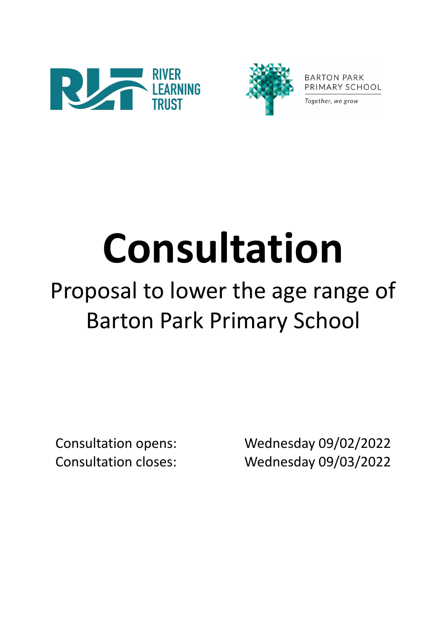



**BARTON PARK** PRIMARY SCHOOL

Together, we grow

# **Consultation**

# Proposal to lower the age range of Barton Park Primary School

Consultation opens: Wednesday 09/02/2022 Consultation closes: Wednesday 09/03/2022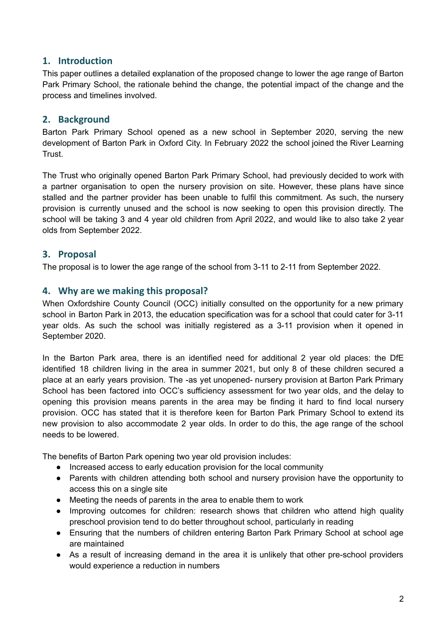# **1. Introduction**

This paper outlines a detailed explanation of the proposed change to lower the age range of Barton Park Primary School, the rationale behind the change, the potential impact of the change and the process and timelines involved.

# **2. Background**

Barton Park Primary School opened as a new school in September 2020, serving the new development of Barton Park in Oxford City. In February 2022 the school joined the River Learning Trust.

The Trust who originally opened Barton Park Primary School, had previously decided to work with a partner organisation to open the nursery provision on site. However, these plans have since stalled and the partner provider has been unable to fulfil this commitment. As such, the nursery provision is currently unused and the school is now seeking to open this provision directly. The school will be taking 3 and 4 year old children from April 2022, and would like to also take 2 year olds from September 2022.

# **3. Proposal**

The proposal is to lower the age range of the school from 3-11 to 2-11 from September 2022.

# **4. Why are we making this proposal?**

When Oxfordshire County Council (OCC) initially consulted on the opportunity for a new primary school in Barton Park in 2013, the education specification was for a school that could cater for 3-11 year olds. As such the school was initially registered as a 3-11 provision when it opened in September 2020.

In the Barton Park area, there is an identified need for additional 2 year old places: the DfE identified 18 children living in the area in summer 2021, but only 8 of these children secured a place at an early years provision. The -as yet unopened- nursery provision at Barton Park Primary School has been factored into OCC's sufficiency assessment for two year olds, and the delay to opening this provision means parents in the area may be finding it hard to find local nursery provision. OCC has stated that it is therefore keen for Barton Park Primary School to extend its new provision to also accommodate 2 year olds. In order to do this, the age range of the school needs to be lowered.

The benefits of Barton Park opening two year old provision includes:

- Increased access to early education provision for the local community
- Parents with children attending both school and nursery provision have the opportunity to access this on a single site
- Meeting the needs of parents in the area to enable them to work
- Improving outcomes for children: research shows that children who attend high quality preschool provision tend to do better throughout school, particularly in reading
- Ensuring that the numbers of children entering Barton Park Primary School at school age are maintained
- As a result of increasing demand in the area it is unlikely that other pre-school providers would experience a reduction in numbers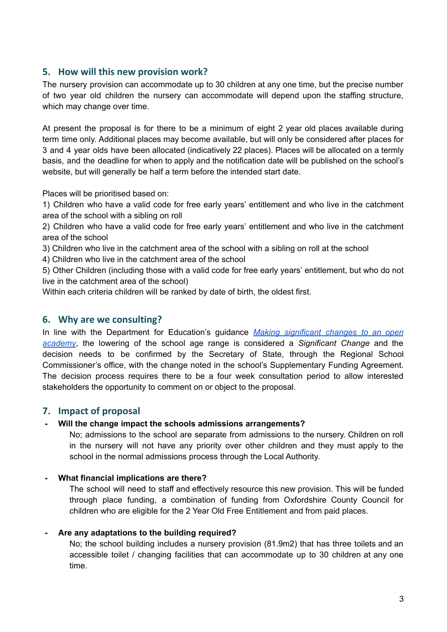# **5. How will this new provision work?**

The nursery provision can accommodate up to 30 children at any one time, but the precise number of two year old children the nursery can accommodate will depend upon the staffing structure, which may change over time.

At present the proposal is for there to be a minimum of eight 2 year old places available during term time only. Additional places may become available, but will only be considered after places for 3 and 4 year olds have been allocated (indicatively 22 places). Places will be allocated on a termly basis, and the deadline for when to apply and the notification date will be published on the school's website, but will generally be half a term before the intended start date.

Places will be prioritised based on:

1) Children who have a valid code for free early years' entitlement and who live in the catchment area of the school with a sibling on roll

2) Children who have a valid code for free early years' entitlement and who live in the catchment area of the school

3) Children who live in the catchment area of the school with a sibling on roll at the school

4) Children who live in the catchment area of the school

5) Other Children (including those with a valid code for free early years' entitlement, but who do not live in the catchment area of the school)

Within each criteria children will be ranked by date of birth, the oldest first.

#### **6. Why are we consulting?**

In line with the Department for Education's guidance *Making [significant](https://www.gov.uk/government/publications/making-significant-changes-to-an-existing-academy) changes to an open [academy](https://www.gov.uk/government/publications/making-significant-changes-to-an-existing-academy)*, the lowering of the school age range is considered a *Significant Change* and the decision needs to be confirmed by the Secretary of State, through the Regional School Commissioner's office, with the change noted in the school's Supplementary Funding Agreement. The decision process requires there to be a four week consultation period to allow interested stakeholders the opportunity to comment on or object to the proposal.

# **7. Impact of proposal**

#### **- Will the change impact the schools admissions arrangements?**

No; admissions to the school are separate from admissions to the nursery. Children on roll in the nursery will not have any priority over other children and they must apply to the school in the normal admissions process through the Local Authority.

#### **- What financial implications are there?**

The school will need to staff and effectively resource this new provision. This will be funded through place funding, a combination of funding from Oxfordshire County Council for children who are eligible for the 2 Year Old Free Entitlement and from paid places.

#### **- Are any adaptations to the building required?**

No; the school building includes a nursery provision (81.9m2) that has three toilets and an accessible toilet / changing facilities that can accommodate up to 30 children at any one time.